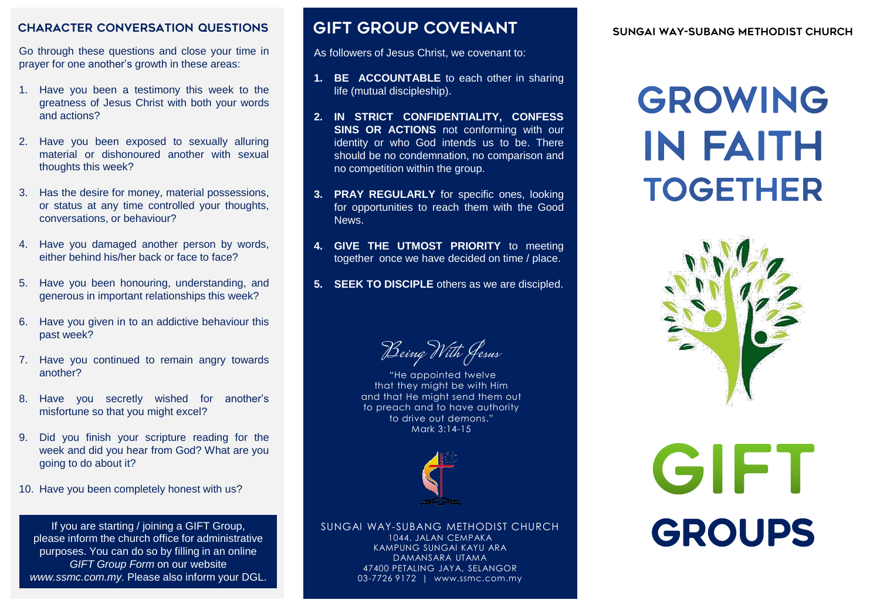#### CHARACTER CONVERSATION QUESTIONS **GIFT GROUP COVENANT** SUNGAI WAY-SUBANG METHODIST CHURCH

Go through these questions and close your time in prayer for one another's growth in these areas:

- 1. Have you been a testimony this week to the greatness of Jesus Christ with both your words and actions?
- 2. Have you been exposed to sexually alluring material or dishonoured another with sexual thoughts this week?
- 3. Has the desire for money, material possessions, or status at any time controlled your thoughts, conversations, or behaviour?
- 4. Have you damaged another person by words, either behind his/her back or face to face?
- 5. Have you been honouring, understanding, and generous in important relationships this week?
- 6. Have you given in to an addictive behaviour this past week?
- 7. Have you continued to remain angry towards another?
- 8. Have you secretly wished for another's misfortune so that you might excel?
- 9. Did you finish your scripture reading for the week and did you hear from God? What are you going to do about it?
- 10. Have you been completely honest with us?

If you are starting / joining a GIFT Group, please inform the church office for administrative purposes. You can do so by filling in an online **GIFT Group Form on our website** *www.ssmc.com.my.* Please also inform your DGL.

## GIFT GROUP COVENANT

As followers of Jesus Christ, we covenant to:

- **1. BE ACCOUNTABLE** to each other in sharing life (mutual discipleship).
- **2. IN STRICT CONFIDENTIALITY, CONFESS SINS OR ACTIONS** not conforming with our identity or who God intends us to be. There should be no condemnation, no comparison and no competition within the group.
- **3. PRAY REGULARLY** for specific ones, looking for opportunities to reach them with the Good News.
- **4. GIVE THE UTMOST PRIORITY** to meeting together once we have decided on time / place.
- **5. SEEK TO DISCIPLE** others as we are discipled.

Being With Jesus

"He appointed twelve that they might be with Him and that He might send them out to preach and to have authority to drive out demons." Mark 3:14-15



SUNGAI WAY-SUBANG METHODIST CHURCH 1044, JALAN CEMPAKA KAMPUNG SUNGAI KAYU ARA DAMANSARA UTAMA 47400 PETALING JAYA, SELANGOR 03-7726 9172 | www.ssmc.com.my

# GROWING **IN FAITH TOGETHER**



# GIFT GROUPS